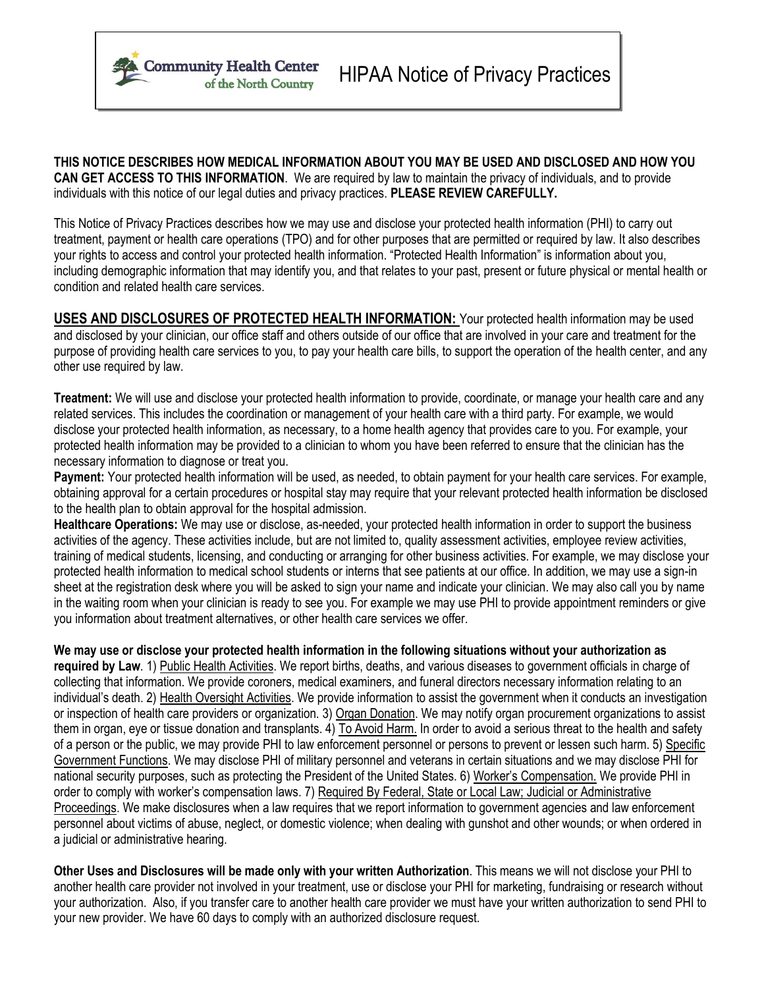

**THIS NOTICE DESCRIBES HOW MEDICAL INFORMATION ABOUT YOU MAY BE USED AND DISCLOSED AND HOW YOU CAN GET ACCESS TO THIS INFORMATION**. We are required by law to maintain the privacy of individuals, and to provide individuals with this notice of our legal duties and privacy practices. **PLEASE REVIEW CAREFULLY.**

This Notice of Privacy Practices describes how we may use and disclose your protected health information (PHI) to carry out treatment, payment or health care operations (TPO) and for other purposes that are permitted or required by law. It also describes your rights to access and control your protected health information. "Protected Health Information" is information about you, including demographic information that may identify you, and that relates to your past, present or future physical or mental health or condition and related health care services.

**USES AND DISCLOSURES OF PROTECTED HEALTH INFORMATION:** Your protected health information may be used and disclosed by your clinician, our office staff and others outside of our office that are involved in your care and treatment for the purpose of providing health care services to you, to pay your health care bills, to support the operation of the health center, and any other use required by law.

**Treatment:** We will use and disclose your protected health information to provide, coordinate, or manage your health care and any related services. This includes the coordination or management of your health care with a third party. For example, we would disclose your protected health information, as necessary, to a home health agency that provides care to you. For example, your protected health information may be provided to a clinician to whom you have been referred to ensure that the clinician has the necessary information to diagnose or treat you.

**Payment:** Your protected health information will be used, as needed, to obtain payment for your health care services. For example, obtaining approval for a certain procedures or hospital stay may require that your relevant protected health information be disclosed to the health plan to obtain approval for the hospital admission.

**Healthcare Operations:** We may use or disclose, as-needed, your protected health information in order to support the business activities of the agency. These activities include, but are not limited to, quality assessment activities, employee review activities, training of medical students, licensing, and conducting or arranging for other business activities. For example, we may disclose your protected health information to medical school students or interns that see patients at our office. In addition, we may use a sign-in sheet at the registration desk where you will be asked to sign your name and indicate your clinician. We may also call you by name in the waiting room when your clinician is ready to see you. For example we may use PHI to provide appointment reminders or give you information about treatment alternatives, or other health care services we offer.

**We may use or disclose your protected health information in the following situations without your authorization as required by Law**. 1) Public Health Activities. We report births, deaths, and various diseases to government officials in charge of collecting that information. We provide coroners, medical examiners, and funeral directors necessary information relating to an individual's death. 2) Health Oversight Activities. We provide information to assist the government when it conducts an investigation or inspection of health care providers or organization. 3) Organ Donation. We may notify organ procurement organizations to assist them in organ, eye or tissue donation and transplants. 4) To Avoid Harm. In order to avoid a serious threat to the health and safety of a person or the public, we may provide PHI to law enforcement personnel or persons to prevent or lessen such harm. 5) Specific Government Functions. We may disclose PHI of military personnel and veterans in certain situations and we may disclose PHI for national security purposes, such as protecting the President of the United States. 6) Worker's Compensation. We provide PHI in order to comply with worker's compensation laws. 7) Required By Federal, State or Local Law; Judicial or Administrative Proceedings. We make disclosures when a law requires that we report information to government agencies and law enforcement personnel about victims of abuse, neglect, or domestic violence; when dealing with gunshot and other wounds; or when ordered in a judicial or administrative hearing.

**Other Uses and Disclosures will be made only with your written Authorization**. This means we will not disclose your PHI to another health care provider not involved in your treatment, use or disclose your PHI for marketing, fundraising or research without your authorization. Also, if you transfer care to another health care provider we must have your written authorization to send PHI to your new provider. We have 60 days to comply with an authorized disclosure request.